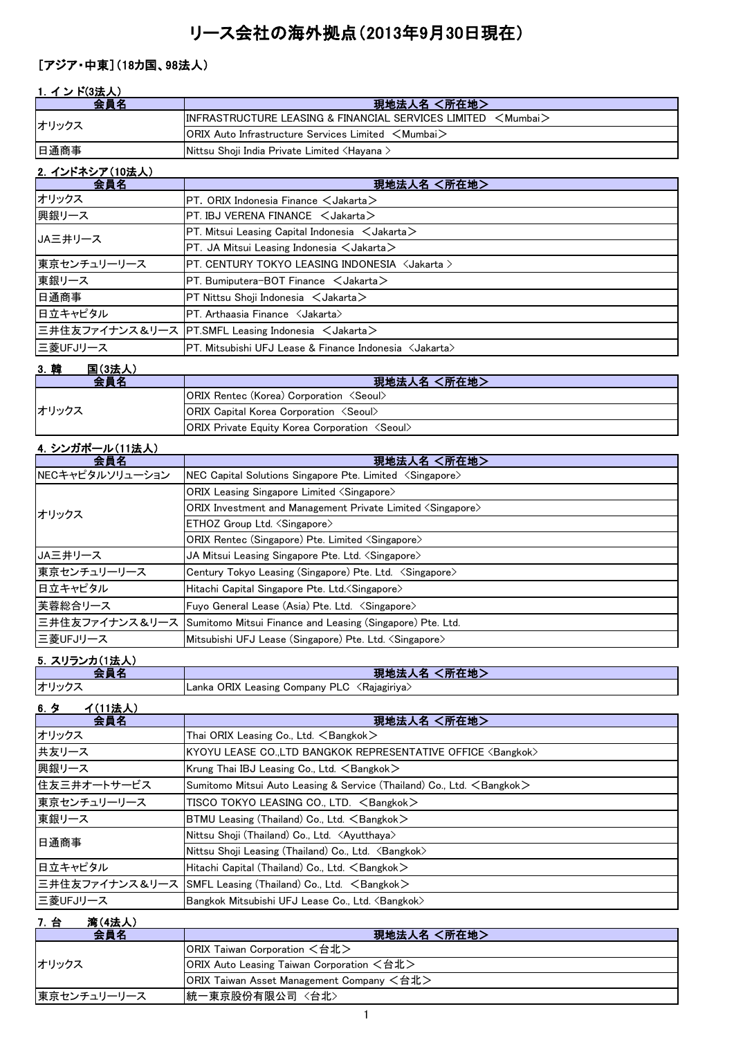# リース会社の海外拠点(2013年9月30日現在)

### [アジア・中東](18カ国、98法人)

#### 1. インド(3法人)

| 会員名               | 現地法人名 <所在地>                                                            |
|-------------------|------------------------------------------------------------------------|
| オリックス             | IINFRASTRUCTURE LEASING & FINANCIAL SERVICES LIMITED <mumbai></mumbai> |
|                   | <b>IORIX Auto Infrastructure Services Limited <mumbai></mumbai></b>    |
| 日通商事              | Nittsu Shoji India Private Limited <hayana></hayana>                   |
| - 2. インドネシア(10法人) |                                                                        |

| 現地法人名 <所在地>                                                                                         |
|-----------------------------------------------------------------------------------------------------|
| $PT.$ ORIX Indonesia Finance $\lt$ Jakarta $>$                                                      |
| $PT$ . IBJ VERENA FINANCE $\lt$ Jakarta $>$                                                         |
| $PT.$ Mitsui Leasing Capital Indonesia $\lt$ Jakarta $\gt$                                          |
| $PT.$ JA Mitsui Leasing Indonesia $\lt$ Jakarta $>$                                                 |
| PT. CENTURY TOKYO LEASING INDONESIA <jakarta></jakarta>                                             |
| $PT.$ Bumiputera-BOT Finance $\lt$ Jakarta $>$                                                      |
| $PT$ Nittsu Shoii Indonesia $\lt$ Jakarta $>$                                                       |
| $PT.$ Arthaasia Finance $\langle$ Jakarta $\rangle$                                                 |
| 三井住友ファイナンス&リース PT.SMFL Leasing Indonesia <jakarta></jakarta>                                        |
| $\bm{\mathsf{PT}}$ . Mitsubishi UFJ Lease & Finance Indonesia $\bm{\langle}$ Jakarta $\bm{\rangle}$ |
|                                                                                                     |

### 3.韓 国(3法人)

| 会員名   | 現地法人名 <所在地>                                                  |
|-------|--------------------------------------------------------------|
| オリックス | <b>ORIX Rentec (Korea) Corporation <seoul></seoul></b>       |
|       | <b>ORIX Capital Korea Corporation <seoul></seoul></b>        |
|       | <b>ORIX Private Equity Korea Corporation <seoul></seoul></b> |

#### 4.シンガポール(11法人)

| 会員名             | 現地法人名 <所在地>                                                                  |
|-----------------|------------------------------------------------------------------------------|
| NECキャピタルソリューション | NEC Capital Solutions Singapore Pte. Limited $\langle$ Singapore $\rangle$   |
| オリックス           | <b>ORIX Leasing Singapore Limited <singapore></singapore></b>                |
|                 | ORIX Investment and Management Private Limited $\langle$ Singapore $\rangle$ |
|                 | ETHOZ Group Ltd. <singapore></singapore>                                     |
|                 | ORIX Rentec (Singapore) Pte. Limited <singapore></singapore>                 |
| JA三井リース         | JA Mitsui Leasing Singapore Pte. Ltd. <singapore></singapore>                |
| 東京センチュリーリース     | Century Tokyo Leasing (Singapore) Pte. Ltd. <singapore></singapore>          |
| 日立キャピタル         | Hitachi Capital Singapore Pte. Ltd. < Singapore>                             |
| 芙蓉総合リース         | Fuyo General Lease (Asia) Pte. Ltd. <singapore></singapore>                  |
|                 | 三井住友ファイナンス&リース   Sumitomo Mitsui Finance and Leasing (Singapore) Pte. Ltd.   |
| 三菱UFJリース        | Mitsubishi UFJ Lease (Singapore) Pte. Ltd. <singapore></singapore>           |

#### 5.スリランカ(1法人)

| --   | く所在地)                                                    |
|------|----------------------------------------------------------|
| .    | 現地法ノ                                                     |
| . .  | 人名                                                       |
| オリック | Lanka ORIX Leasing Company PLC <rajagiriya></rajagiriya> |

| 6.5<br>イ(11法人) |                                                                                 |
|----------------|---------------------------------------------------------------------------------|
| 会員名            | 現地法人名 <所在地>                                                                     |
| オリックス          | Thai ORIX Leasing Co., Ltd. $\leq$ Bangkok $>$                                  |
| 共友リース          | KYOYU LEASE CO.,LTD BANGKOK REPRESENTATIVE OFFICE <bangkok></bangkok>           |
| 興銀リース          | Krung Thai IBJ Leasing Co., Ltd. $\leq$ Bangkok $\geq$                          |
| 住友三井オートサービス    | Sumitomo Mitsui Auto Leasing & Service (Thailand) Co., Ltd. <bangkok></bangkok> |
| 東京センチュリーリース    | TISCO TOKYO LEASING CO., LTD. $\leq$ Bangkok $>$                                |
| 東銀リース          | BTMU Leasing (Thailand) Co., Ltd. <bangkok></bangkok>                           |
| 日通商事           | Nittsu Shoji (Thailand) Co., Ltd. <ayutthaya></ayutthaya>                       |
|                | Nittsu Shoji Leasing (Thailand) Co., Ltd. <bangkok></bangkok>                   |
| 日立キャピタル        | Hitachi Capital (Thailand) Co., Ltd. <bangkok></bangkok>                        |
|                | 三井住友ファイナンス&リース  SMFL Leasing (Thailand) Co., Ltd. 〈Bangkok〉                     |
| 三菱UFJリース       | Bangkok Mitsubishi UFJ Lease Co., Ltd. <bangkok></bangkok>                      |

#### 7.台 湾(4法人)

| 会員名         | 現地法人名 <所在地>                               |
|-------------|-------------------------------------------|
| オリックス       | ORIX Taiwan Corporation <台北>              |
|             | ORIX Auto Leasing Taiwan Corporation <台北> |
|             | ORIX Taiwan Asset Management Company <台北> |
| 東京センチュリーリース | 統一東京股份有限公司 〈台北〉                           |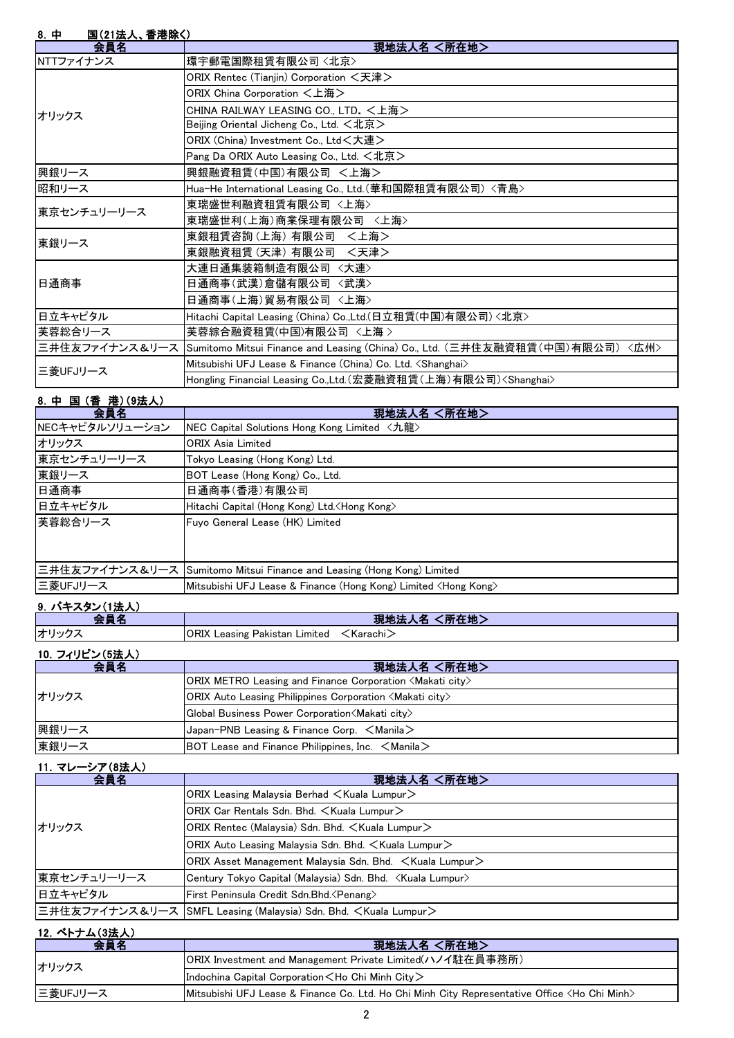| 8. 中<br>国(21法人、香港除く) |                                                                                              |
|----------------------|----------------------------------------------------------------------------------------------|
| 会員名                  | 現地法人名 <所在地>                                                                                  |
| NTTファイナンス            | 環宇郵電国際租賃有限公司〈北京〉                                                                             |
|                      | ORIX Rentec (Tianjin) Corporation <天津>                                                       |
|                      | ORIX China Corporation <上海>                                                                  |
| オリックス                | CHINA RAILWAY LEASING CO., LTD. <上海>                                                         |
|                      | Beijing Oriental Jicheng Co., Ltd. <北京>                                                      |
|                      | ORIX (China) Investment Co., Ltd<大連>                                                         |
|                      | Pang Da ORIX Auto Leasing Co., Ltd. <北京>                                                     |
| 興銀リース                | 興銀融資租賃(中国)有限公司 <上海>                                                                          |
| 昭和リース                | Hua-He International Leasing Co., Ltd. (華和国際租賃有限公司) <青島>                                     |
| 東京センチュリーリース          | 東瑞盛世利融資租賃有限公司 〈上海〉                                                                           |
|                      | 東瑞盛世利(上海)商業保理有限公司 <上海>                                                                       |
| 東銀リース                | 東銀租賃咨詢 (上海) 有限公司 〈上海>                                                                        |
|                      | 東銀融資租賃 (天津) 有限公司 <天津>                                                                        |
|                      | 大連日通集装箱制造有限公司 〈大連〉                                                                           |
| 日通商事                 | 日通商事(武漢)倉儲有限公司 〈武漢〉                                                                          |
|                      | 日通商事(上海)貿易有限公司 〈上海〉                                                                          |
| 日立キャピタル              | Hitachi Capital Leasing (China) Co.,Ltd.(日立租賃(中国)有限公司) <北京>                                  |
| 芙蓉総合リース              | 芙蓉綜合融資租賃(中国)有限公司 〈上海 〉                                                                       |
|                      | 三井住友ファイナンス&リース  Sumitomo Mitsui Finance and Leasing (China) Co., Ltd. (三井住友融資租賃(中国)有限公司)〈広州〉 |
| 三菱UFJリース             | Mitsubishi UFJ Lease & Finance (China) Co. Ltd. <shanghai></shanghai>                        |
|                      | Hongling Financial Leasing Co.,Ltd.(宏菱融資租賃(上海)有限公司) <shanghai></shanghai>                    |

#### 8.中 国 (香 港)(9法人)

| 会員名             | 現地法人名 <所在地>                                                              |
|-----------------|--------------------------------------------------------------------------|
| NECキャピタルソリューション | <b>NEC Capital Solutions Hong Kong Limited 〈九龍〉</b>                      |
| オリックス           | <b>ORIX Asia Limited</b>                                                 |
| 東京センチュリーリース     | Tokyo Leasing (Hong Kong) Ltd.                                           |
| 東銀リース           | BOT Lease (Hong Kong) Co., Ltd.                                          |
| 日通商事            | 日通商事(香港)有限公司                                                             |
| 日立キャピタル         | Hitachi Capital (Hong Kong) Ltd. <hong kong=""></hong>                   |
| 芙蓉総合リース         | Fuvo General Lease (HK) Limited                                          |
|                 |                                                                          |
|                 |                                                                          |
|                 | 三井住友ファイナンス&リース Sumitomo Mitsui Finance and Leasing (Hong Kong) Limited   |
| 三菱UFJリース        | Mitsubishi UFJ Lease & Finance (Hong Kong) Limited <hong kong=""></hong> |
| .               |                                                                          |

#### 9. パキスタン(1法人)

|     | <b>Section</b><br><b>The State of Street</b><br>罗罗        |
|-----|-----------------------------------------------------------|
| オリッ | ORIX<br>Leasing<br>∟imited<br>Karachi∠<br><b>Pakistan</b> |

#### 10.フィリピン(5法人)

| 会員名   | 現地法人名 <所在地>                                                                     |
|-------|---------------------------------------------------------------------------------|
| オリックス | $ ORIX$ METRO Leasing and Finance Corporation $\langle M\$ akati city $\rangle$ |
|       | $ ORIX$ Auto Leasing Philippines Corporation $\langle M$ akati city $\rangle$   |
|       | Global Business Power Corporation (Makati city)                                 |
| 興銀リース | Japan-PNB Leasing & Finance Corp. <manila></manila>                             |
| 東銀リース | BOT Lease and Finance Philippines, Inc. $\leq$ Manila $\geq$                    |

#### 11.マレーシア(8法人)

| 会員名         | 現地法人名 <所在地>                                                                 |
|-------------|-----------------------------------------------------------------------------|
| オリックス       | ORIX Leasing Malaysia Berhad $\lt$ Kuala Lumpur $\gt$                       |
|             | ORIX Car Rentals Sdn. Bhd. < Kuala Lumpur>                                  |
|             | ORIX Rentec (Malaysia) Sdn. Bhd. < Kuala Lumpur>                            |
|             | ORIX Auto Leasing Malaysia Sdn. Bhd. <kuala lumpur=""></kuala>              |
|             | ORIX Asset Management Malaysia Sdn. Bhd. $\leq$ Kuala Lumpur $\geq$         |
| 東京センチュリーリース | Century Tokyo Capital (Malaysia) Sdn. Bhd. <kuala lumpur=""></kuala>        |
| 日立キャピタル     | First Peninsula Credit Sdn.Bhd. < Penang>                                   |
|             | 三井住友ファイナンス&リース  SMFL Leasing (Malaysia) Sdn. Bhd. <kuala lumpur=""></kuala> |

# 12. ベトナム(3法人)

| 会員名      | 現地法人名 <所在地>                                                                                             |
|----------|---------------------------------------------------------------------------------------------------------|
| オリックス    | ORIX Investment and Management Private Limited(ハノイ駐在員事務所)                                               |
|          | Indochina Capital Corporation $\lt$ Ho Chi Minh City $\gt$                                              |
| ニ菱UFJリース | Mitsubishi UFJ Lease & Finance Co. Ltd. Ho Chi Minh City Representative Office <ho chi="" minh=""></ho> |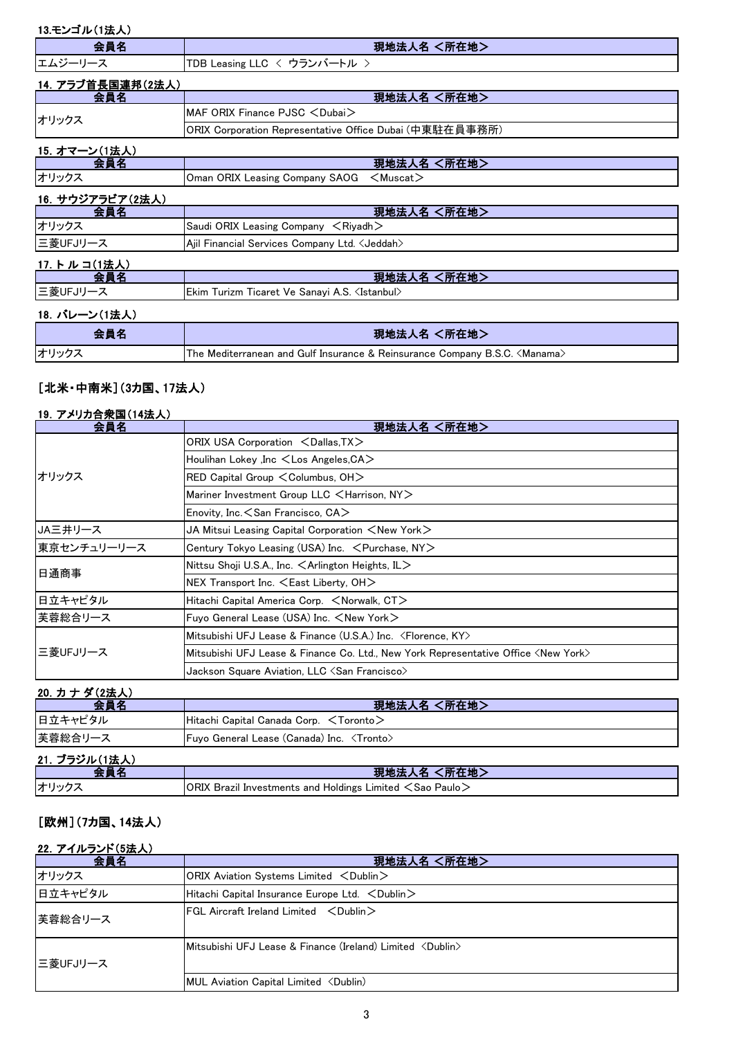| 13.モンゴル(1法人)      |                                                                                     |
|-------------------|-------------------------------------------------------------------------------------|
| 会員名               | 現地法人名 <所在地>                                                                         |
| エムジーリース           | TDB Leasing LLC < ウランバートル >                                                         |
| 14. アラブ首長国連邦(2法人) |                                                                                     |
| 会員名               | 現地法人名 <所在地>                                                                         |
| オリックス             | MAF ORIX Finance PJSC <dubai></dubai>                                               |
|                   | ORIX Corporation Representative Office Dubai (中東駐在員事務所)                             |
| 15. オマーン(1法人)     |                                                                                     |
| 会員名               | 現地法人名 <所在地>                                                                         |
| オリックス             | Oman ORIX Leasing Company SAOG<br>$<$ Muscat $>$                                    |
| 16. サウジアラビア(2法人)  |                                                                                     |
| 会員名               | 現地法人名 <所在地>                                                                         |
| オリックス             | Saudi ORIX Leasing Company $\leq$ Riyadh $>$                                        |
| 三菱UFJリース          | Ajil Financial Services Company Ltd. < Jeddah>                                      |
| 17. トルコ(1法人)      |                                                                                     |
| 会員名               | 現地法人名 <所在地>                                                                         |
| 三菱UFJリース          | Ekim Turizm Ticaret Ve Sanayi A.S. <istanbul></istanbul>                            |
| 18. バレーン(1法人)     |                                                                                     |
| 会員名               | 現地法人名 <所在地>                                                                         |
| オリックス             | The Mediterranean and Gulf Insurance & Reinsurance Company B.S.C. <manama></manama> |

# [北米・中南米](3カ国、17法人)

| 19. アメリカ合衆国(14法人) |
|-------------------|
|-------------------|

| 会員名         | 現地法人名 <所在地>                                                                                 |
|-------------|---------------------------------------------------------------------------------------------|
|             | ORIX USA Corporation <dallas, tx=""></dallas,>                                              |
|             | Houlihan Lokey ,Inc $\lt$ Los Angeles, CA $>$                                               |
| オリックス       | RED Capital Group < Columbus, OH>                                                           |
|             | Mariner Investment Group LLC $\leq$ Harrison, NY $>$                                        |
|             | Enovity, Inc. $<$ San Francisco, CA $>$                                                     |
| JA三井リース     | JA Mitsui Leasing Capital Corporation $<$ New York $>$                                      |
| 東京センチュリーリース | Century Tokyo Leasing (USA) Inc. < Purchase, NY>                                            |
| 日通商事        | Nittsu Shoji U.S.A., Inc. $\leq$ Arlington Heights, IL $>$                                  |
|             | NEX Transport Inc. <east liberty,="" oh=""></east>                                          |
| 日立キャピタル     | Hitachi Capital America Corp. $\leq$ Norwalk, CT $>$                                        |
| 芙蓉総合リース     | Fuyo General Lease (USA) Inc. $\leq$ New York $\geq$                                        |
| 三菱UFJリース    | Mitsubishi UFJ Lease & Finance (U.S.A.) Inc. <florence, ky=""></florence,>                  |
|             | Mitsubishi UFJ Lease & Finance Co. Ltd., New York Representative Office <new york=""></new> |
|             | Jackson Square Aviation, LLC $\triangle$ San Francisco $\triangleright$                     |

| 20. カナダ(2法人)  |                                                    |
|---------------|----------------------------------------------------|
| 会員名           | 現地法人名 <所在地>                                        |
| 日立キャピタル       | Hitachi Capital Canada Corp. <toronto></toronto>   |
| 芙蓉総合リース       | Fuyo General Lease (Canada) Inc. <tronto></tronto> |
| 21. ブラジル(1法人) |                                                    |

|    | .<br>$PT + FU$<br>لمادليهن                                                              |
|----|-----------------------------------------------------------------------------------------|
| 17 | ORIX<br>← Limited. د.<br>l Investments and Holdings I<br>Paulo<br>.Sao<br><b>Brazil</b> |

#### [欧州](7カ国、14法人)

#### 22. アイルランド(5法人)

| 会員名      | 現地法人名 <所在地>                                                                    |
|----------|--------------------------------------------------------------------------------|
| オリックス    | ORIX Aviation Systems Limited $\langle$ Dublin $\rangle$                       |
| 日立キャピタル  | Hitachi Capital Insurance Europe Ltd. $\lt$ Dublin $\gt$                       |
| 芙蓉総合リース  | $FGL$ Aircraft Ireland Limited $\langle$ Oublin $\rangle$                      |
| 三菱UFJリース | $M$ itsubishi UFJ Lease & Finance (Ireland) Limited $\langle$ Dublin $\rangle$ |
|          | MUL Aviation Capital Limited <dublin)< td=""></dublin)<>                       |